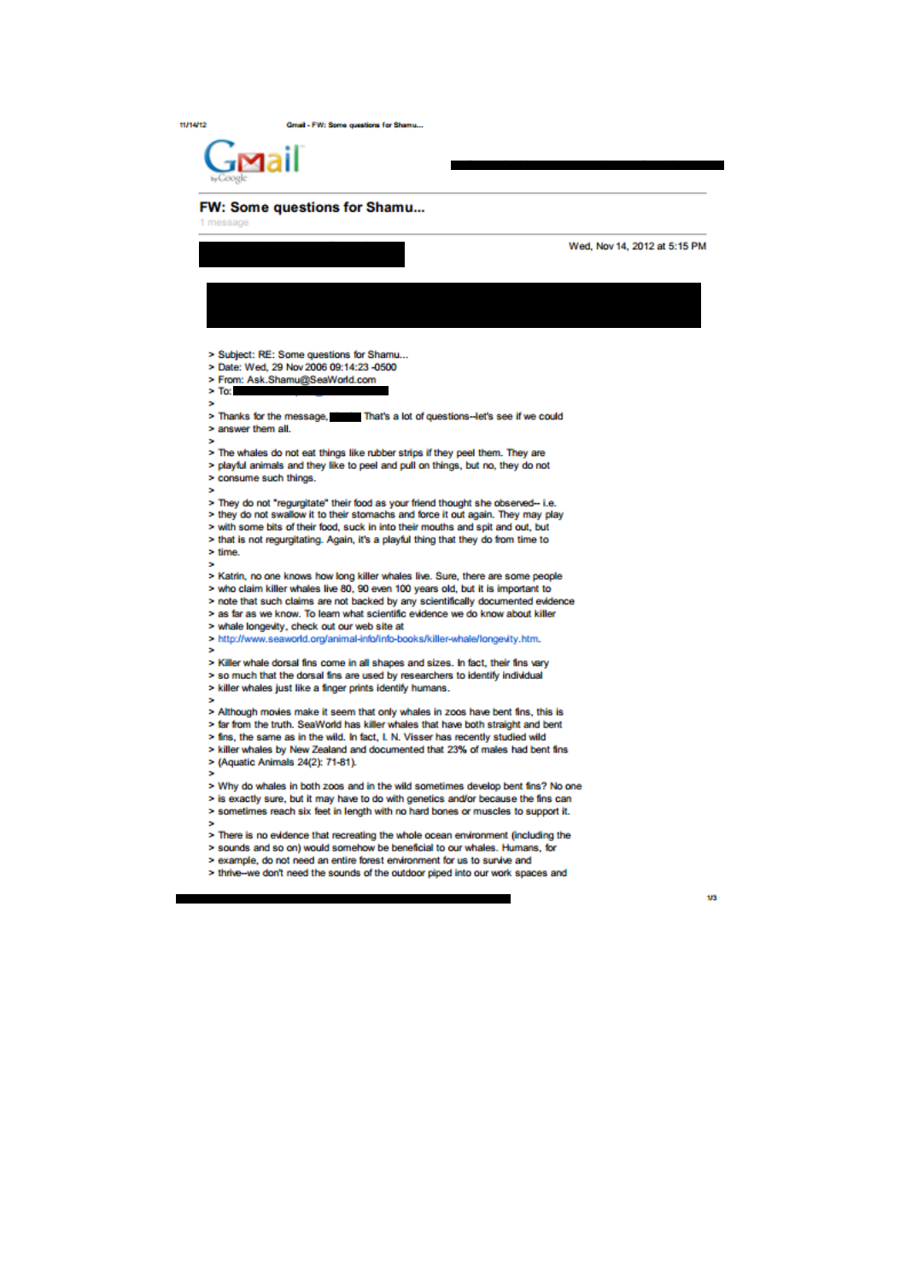$11/14/12$ 

Gmail - FW: Some questions for Shamu ...



## FW: Some questions for Shamu...

|                                                                                                                                                                      | Wed, Nov 14, 2012 at 5:15 PM |
|----------------------------------------------------------------------------------------------------------------------------------------------------------------------|------------------------------|
|                                                                                                                                                                      |                              |
|                                                                                                                                                                      |                              |
|                                                                                                                                                                      |                              |
|                                                                                                                                                                      |                              |
| > Subject: RE: Some questions for Shamu                                                                                                                              |                              |
| > Date: Wed, 29 Nov 2006 09:14:23 -0500<br>> From: Ask.Shamu@SeaWorld.com                                                                                            |                              |
| $>$ To:                                                                                                                                                              |                              |
| ÷                                                                                                                                                                    |                              |
| > Thanks for the message, That's a lot of questions-let's see if we could                                                                                            |                              |
| > answer them all.<br>ь                                                                                                                                              |                              |
| > The whales do not eat things like rubber strips if they peel them. They are                                                                                        |                              |
| > playful animals and they like to peel and pull on things, but no, they do not                                                                                      |                              |
| > consume such things.<br>×                                                                                                                                          |                              |
| > They do not "regurgitate" their food as your friend thought she observed-- i.e.                                                                                    |                              |
| > they do not swallow it to their stomachs and force it out again. They may play                                                                                     |                              |
| > with some bits of their food, suck in into their mouths and spit and out, but                                                                                      |                              |
| > that is not regurgitating. Again, it's a playful thing that they do from time to<br>> time.                                                                        |                              |
| ,                                                                                                                                                                    |                              |
| > Katrin, no one knows how long killer whales live. Sure, there are some people                                                                                      |                              |
| > who claim killer whales live 80, 90 even 100 years old, but it is important to<br>> note that such claims are not backed by any scientifically documented evidence |                              |
| > as far as we know. To learn what scientific evidence we do know about killer                                                                                       |                              |
| > whale longevity, check out our web site at                                                                                                                         |                              |
| > http://www.seaworld.org/animal-info/info-books/killer-whale/longevity.htm.                                                                                         |                              |
| ,<br>> Killer whale dorsal fins come in all shapes and sizes. In fact, their fins vary                                                                               |                              |
| > so much that the dorsal fins are used by researchers to identify individual                                                                                        |                              |
| > killer whales just like a finger prints identify humans.                                                                                                           |                              |
| ,                                                                                                                                                                    |                              |
| > Although movies make it seem that only whales in zoos have bent fins, this is<br>> far from the truth. SeaWorld has killer whales that have both straight and bent |                              |
| > fins, the same as in the wild. In fact, I. N. Visser has recently studied wild                                                                                     |                              |
| > killer whales by New Zealand and documented that 23% of males had bent fins                                                                                        |                              |
| > (Aquatic Animals 24(2): 71-81).<br>×                                                                                                                               |                              |
| > Why do whales in both zoos and in the wild sometimes develop bent fins? No one                                                                                     |                              |
| > is exactly sure, but it may have to do with genetics and/or because the fins can                                                                                   |                              |
| > sometimes reach six feet in length with no hard bones or muscles to support it.<br>s                                                                               |                              |
| > There is no evidence that recreating the whole ocean environment (including the                                                                                    |                              |
| > sounds and so on) would somehow be beneficial to our whales. Humans, for                                                                                           |                              |
| > example, do not need an entire forest environment for us to survive and                                                                                            |                              |
| > thrive--we don't need the sounds of the outdoor piped into our work spaces and                                                                                     |                              |

 $\overline{\phantom{a}}$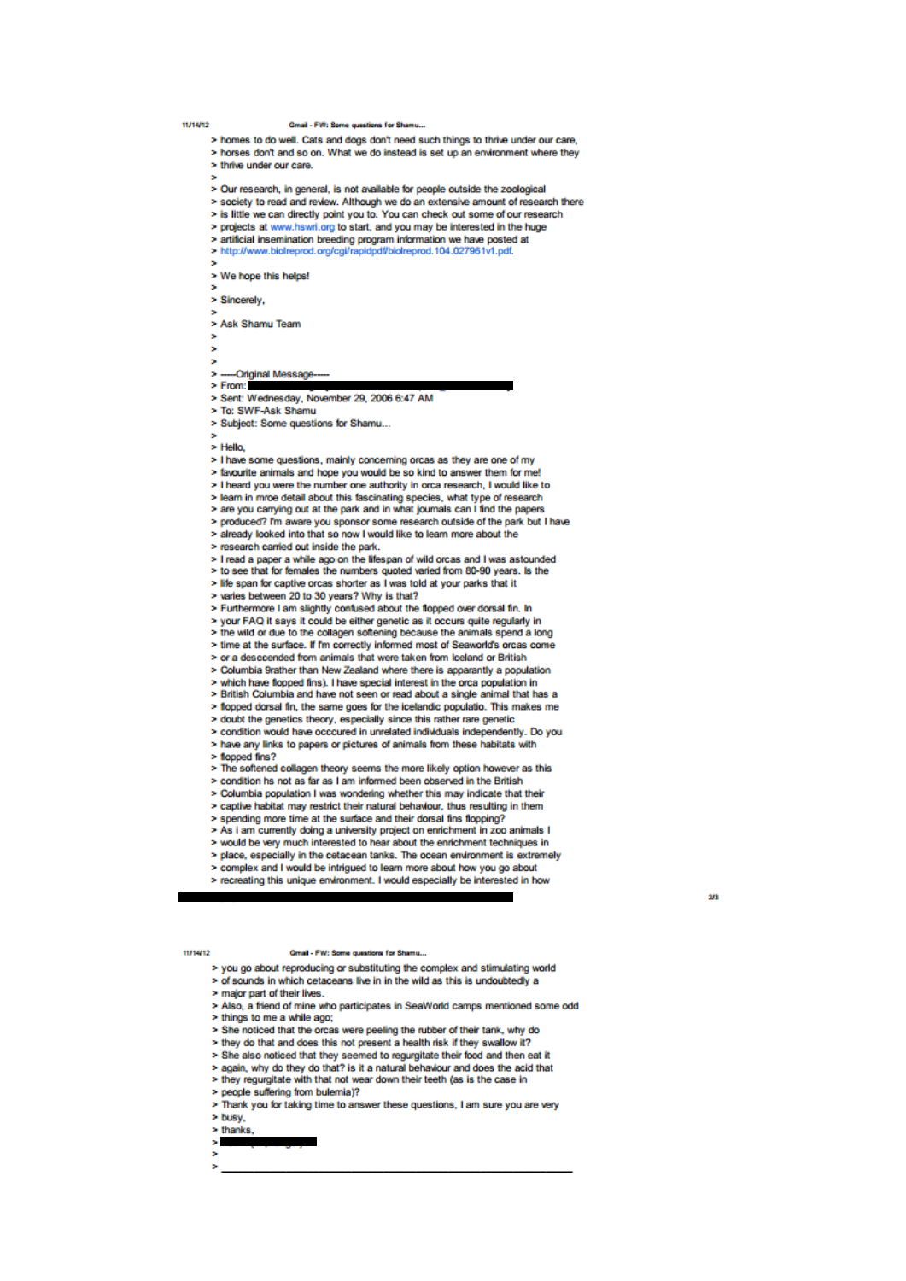## 11/14/12

## Gmail - FW: Some questions for Shamu

- > homes to do well. Cats and dogs don't need such things to thrive under our care,
- > horses don't and so on. What we do instead is set up an environment where they > thrive under our care
- 
- > Our research, in general, is not available for people outside the zoological
- > society to read and review. Although we do an extensive amount of research there
- > is little we can directly point you to. You can check out some of our research
- > projects at www.hswri.org to start, and you may be interested in the huge
- > artificial insemination breeding program information we have posted at
- > http://www.biolreprod.org/cgi/rapidpdf/biolreprod.104.027961v1.pdf.

> We hope this helps!

> Sincerely.

> Ask Shamu Team

- 
- ь
- $\overline{\phantom{a}}$ -Original Message
- $>$  From:
- > Sent: Wednesday, November 29, 2006 6:47 AM
- > To: SWF-Ask Shamu
- > Subject: Some questions for Shamu...
- $>$  Hello
- > I have some questions, mainly concerning orcas as they are one of my
- > favourite animals and hope you would be so kind to answer them for me!
- > I heard you were the number one authority in orca research, I would like to
- > learn in mroe detail about this fascinating species, what type of research<br>> are you carrying out at the park and in what journals can I find the papers
- 
- > produced? I'm aware you sponsor some research outside of the park but I have
- > already looked into that so now I would like to learn more about the
- > research carried out inside the park.
- > I read a paper a while ago on the lifespan of wild orcas and I was astounded
- > to see that for females the numbers quoted varied from 80-90 years. Is the > life span for captive orcas shorter as I was told at your parks that it
- > varies between 20 to 30 years? Why is that?
- > Furthermore I am slightly confused about the flopped over dorsal fin. In
- > vour FAQ it says it could be either genetic as it occurs quite regularly in
- > the wild or due to the collagen softening because the animals spend a long
- > time at the surface. If I'm correctly informed most of Seaworld's orcas come
- > or a desccended from animals that were taken from Iceland or British
- > Columbia 9rather than New Zealand where there is apparantly a population
- which have flopped fins). I have special interest in the orca population in
- > British Columbia and have not seen or read about a single animal that has a
- > flopped dorsal fin, the same goes for the icelandic populatio. This makes me
- > doubt the genetics theory, especially since this rather rare genetic
- > condition would have occcured in unrelated individuals independently. Do you
- > have any links to papers or pictures of animals from these habitats with
- > flooped fins?
- > The softened collagen theory seems the more likely option however as this
- > condition hs not as far as I am informed been observed in the British
- > Columbia population I was wondering whether this may indicate that their
- > captive habitat may restrict their natural behaviour, thus resulting in them
- > spending more time at the surface and their dorsal fins flopping?
- > As i am currently doing a university project on enrichment in zoo animals I > would be very much interested to hear about the enrichment techniques in
- > place, especially in the cetacean tanks. The ocean environment is extremely
- 
- > complex and I would be intrigued to learn more about how you go about
- > recreating this unique environment. I would especially be interested in how

 $0.000000$ 

Gmail - FW: Some ques

- > you go about reproducing or substituting the complex and stimulating world > of sounds in which cetaceans live in in the wild as this is undoubtedly a
- > major part of their lives.
- > Also, a friend of mine who participates in SeaWorld camps mentioned some odd
- > things to me a while ago:
- > She noticed that the orcas were peeling the rubber of their tank, why do
- > they do that and does this not present a health risk if they swallow it?
- > She also noticed that they seemed to regurgitate their food and then eat it
- > again, why do they do that? is it a natural behaviour and does the acid that
- > they regurgitate with that not wear down their teeth (as is the case in
- > people suffering from bulemia)?
- > Thank you for taking time to answer these questions, I am sure you are very
- > busy.
- $>$  thanks
- ×.
- ь

 $2/3$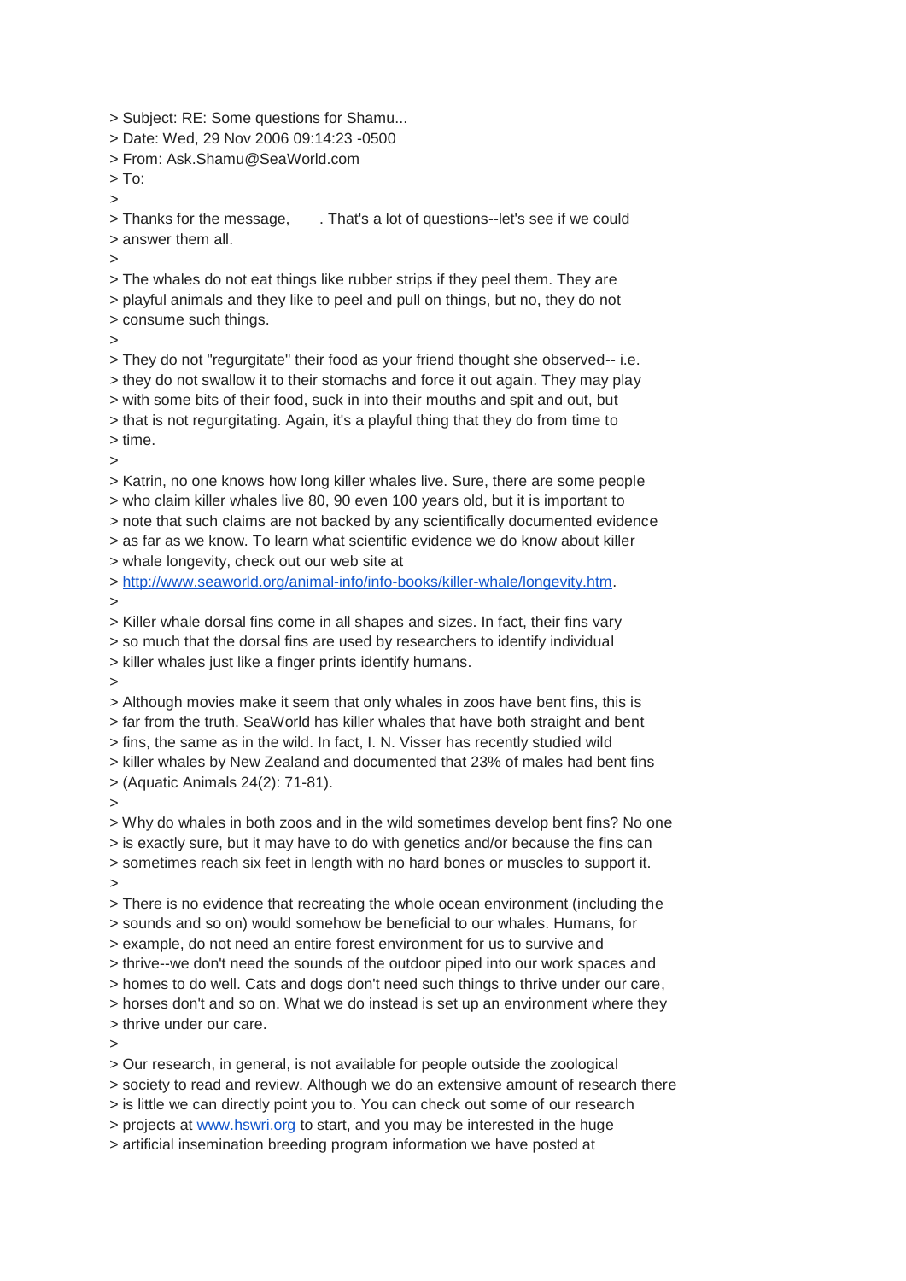> Subject: RE: Some questions for Shamu...

> Date: Wed, 29 Nov 2006 09:14:23 -0500

> From: Ask.Shamu@SeaWorld.com

 $>$  To: >

> Thanks for the message, Finat's a lot of questions--let's see if we could > answer them all.

 $\rightarrow$ 

> The whales do not eat things like rubber strips if they peel them. They are > playful animals and they like to peel and pull on things, but no, they do not > consume such things.

>

> They do not "regurgitate" their food as your friend thought she observed-- i.e.

> they do not swallow it to their stomachs and force it out again. They may play

> with some bits of their food, suck in into their mouths and spit and out, but

> that is not regurgitating. Again, it's a playful thing that they do from time to

> time. >

> Katrin, no one knows how long killer whales live. Sure, there are some people

> who claim killer whales live 80, 90 even 100 years old, but it is important to

> note that such claims are not backed by any scientifically documented evidence

> as far as we know. To learn what scientific evidence we do know about killer > whale longevity, check out our web site at

> [http://www.seaworld.org/animal-info/info-books/killer-whale/longevity.htm.](http://www.seaworld.org/animal-info/info-books/killer-whale/longevity.htm)

>

> Killer whale dorsal fins come in all shapes and sizes. In fact, their fins vary

> so much that the dorsal fins are used by researchers to identify individual

> killer whales just like a finger prints identify humans.

>

> Although movies make it seem that only whales in zoos have bent fins, this is > far from the truth. SeaWorld has killer whales that have both straight and bent > fins, the same as in the wild. In fact, I. N. Visser has recently studied wild > killer whales by New Zealand and documented that 23% of males had bent fins

> (Aquatic Animals 24(2): 71-81).

>

> Why do whales in both zoos and in the wild sometimes develop bent fins? No one > is exactly sure, but it may have to do with genetics and/or because the fins can > sometimes reach six feet in length with no hard bones or muscles to support it.

 $\rightarrow$ 

> There is no evidence that recreating the whole ocean environment (including the > sounds and so on) would somehow be beneficial to our whales. Humans, for

> example, do not need an entire forest environment for us to survive and

> thrive--we don't need the sounds of the outdoor piped into our work spaces and

> homes to do well. Cats and dogs don't need such things to thrive under our care,

> horses don't and so on. What we do instead is set up an environment where they

> thrive under our care.

 $\overline{\phantom{a}}$ 

> Our research, in general, is not available for people outside the zoological

> society to read and review. Although we do an extensive amount of research there

> is little we can directly point you to. You can check out some of our research

> projects at [www.hswri.org](http://www.hswri.org/) to start, and you may be interested in the huge

> artificial insemination breeding program information we have posted at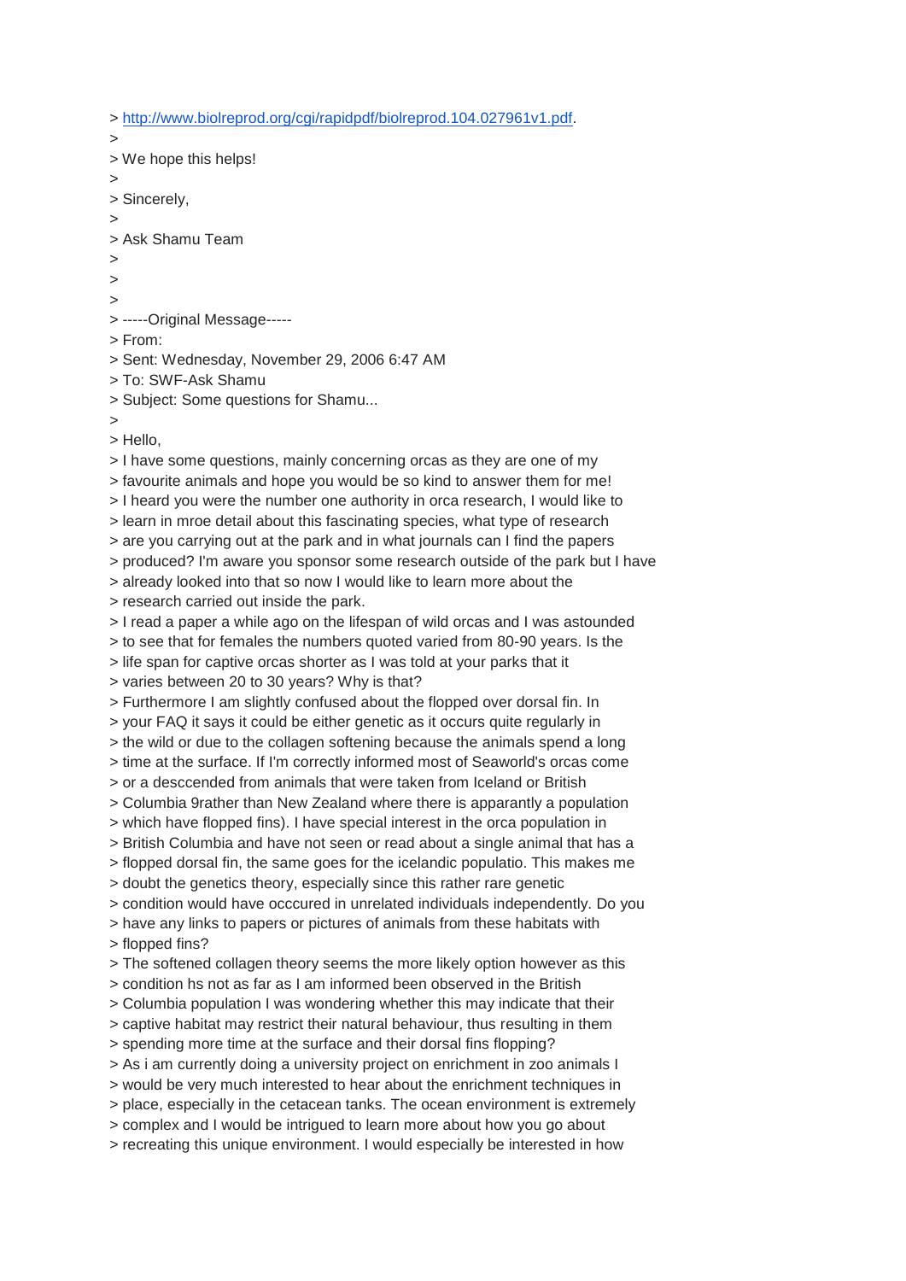> [http://www.biolreprod.org/cgi/rapidpdf/biolreprod.104.027961v1.pdf.](http://www.biolreprod.org/cgi/rapidpdf/biolreprod.104.027961v1.pdf)

> > We hope this helps! > > Sincerely, > > Ask Shamu Team  $\geq$  $\overline{\phantom{a}}$  $\ddot{\phantom{1}}$ > -----Original Message----- > From: > Sent: Wednesday, November 29, 2006 6:47 AM > To: SWF-Ask Shamu > Subject: Some questions for Shamu... > > Hello, > I have some questions, mainly concerning orcas as they are one of my > favourite animals and hope you would be so kind to answer them for me! > I heard you were the number one authority in orca research, I would like to > learn in mroe detail about this fascinating species, what type of research > are you carrying out at the park and in what journals can I find the papers > produced? I'm aware you sponsor some research outside of the park but I have > already looked into that so now I would like to learn more about the

> research carried out inside the park.

> I read a paper a while ago on the lifespan of wild orcas and I was astounded

> to see that for females the numbers quoted varied from 80-90 years. Is the

> life span for captive orcas shorter as I was told at your parks that it

> varies between 20 to 30 years? Why is that?

> Furthermore I am slightly confused about the flopped over dorsal fin. In

> your FAQ it says it could be either genetic as it occurs quite regularly in

> the wild or due to the collagen softening because the animals spend a long

> time at the surface. If I'm correctly informed most of Seaworld's orcas come

> or a desccended from animals that were taken from Iceland or British

> Columbia 9rather than New Zealand where there is apparantly a population

> which have flopped fins). I have special interest in the orca population in

> British Columbia and have not seen or read about a single animal that has a > flopped dorsal fin, the same goes for the icelandic populatio. This makes me

> doubt the genetics theory, especially since this rather rare genetic

> condition would have occcured in unrelated individuals independently. Do you

> have any links to papers or pictures of animals from these habitats with

> flopped fins?

> The softened collagen theory seems the more likely option however as this

> condition hs not as far as I am informed been observed in the British

> Columbia population I was wondering whether this may indicate that their

> captive habitat may restrict their natural behaviour, thus resulting in them

> spending more time at the surface and their dorsal fins flopping?

> As i am currently doing a university project on enrichment in zoo animals I

> would be very much interested to hear about the enrichment techniques in

> place, especially in the cetacean tanks. The ocean environment is extremely

> complex and I would be intrigued to learn more about how you go about

> recreating this unique environment. I would especially be interested in how